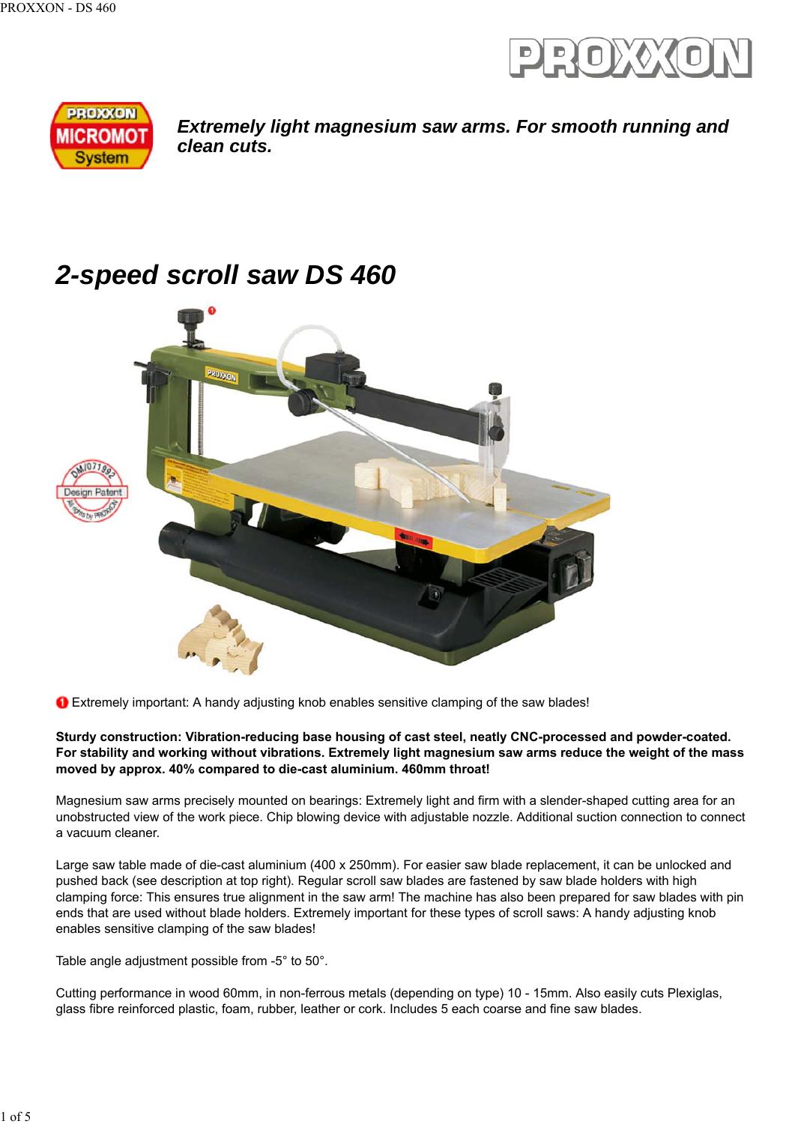



*Extremely light magnesium saw arms. For smooth running and clean cuts.*

# *2-speed scroll saw DS 460*



Extremely important: A handy adjusting knob enables sensitive clamping of the saw blades!

#### **Sturdy construction: Vibration-reducing base housing of cast steel, neatly CNC-processed and powder-coated. For stability and working without vibrations. Extremely light magnesium saw arms reduce the weight of the mass moved by approx. 40% compared to die-cast aluminium. 460mm throat!**

Magnesium saw arms precisely mounted on bearings: Extremely light and firm with a slender-shaped cutting area for an unobstructed view of the work piece. Chip blowing device with adjustable nozzle. Additional suction connection to connect a vacuum cleaner.

Large saw table made of die-cast aluminium (400 x 250mm). For easier saw blade replacement, it can be unlocked and pushed back (see description at top right). Regular scroll saw blades are fastened by saw blade holders with high clamping force: This ensures true alignment in the saw arm! The machine has also been prepared for saw blades with pin ends that are used without blade holders. Extremely important for these types of scroll saws: A handy adjusting knob enables sensitive clamping of the saw blades!

Table angle adjustment possible from -5° to 50°.

Cutting performance in wood 60mm, in non-ferrous metals (depending on type) 10 - 15mm. Also easily cuts Plexiglas, glass fibre reinforced plastic, foam, rubber, leather or cork. Includes 5 each coarse and fine saw blades.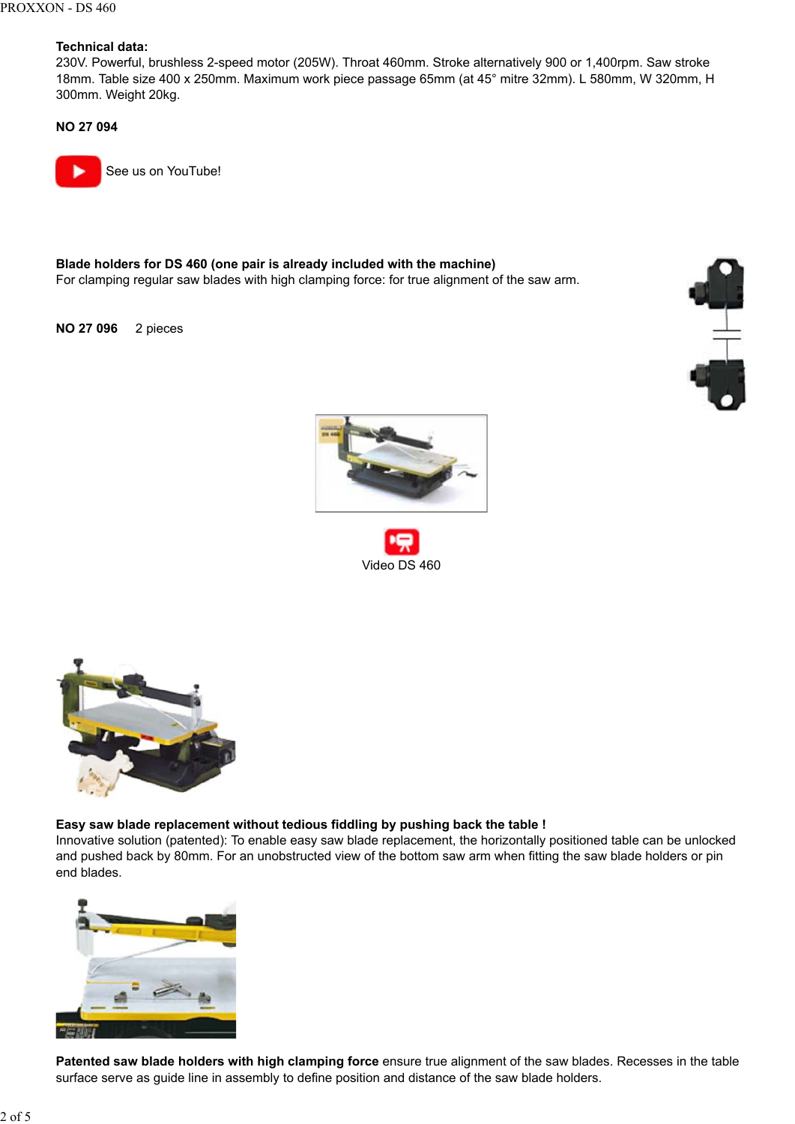#### **Technical data:**

230V. Powerful, brushless 2-speed motor (205W). Throat 460mm. Stroke alternatively 900 or 1,400rpm. Saw stroke 18mm. Table size 400 x 250mm. Maximum work piece passage 65mm (at 45° mitre 32mm). L 580mm, W 320mm, H 300mm. Weight 20kg.

**NO 27 094**

See us on YouTube!

**Blade holders for DS 460 (one pair is already included with the machine)** For clamping regular saw blades with high clamping force: for true alignment of the saw arm.

**NO 27 096** 2 pieces





Video DS 460



#### **Easy saw blade replacement without tedious fiddling by pushing back the table !**

Innovative solution (patented): To enable easy saw blade replacement, the horizontally positioned table can be unlocked and pushed back by 80mm. For an unobstructed view of the bottom saw arm when fitting the saw blade holders or pin end blades.



**Patented saw blade holders with high clamping force** ensure true alignment of the saw blades. Recesses in the table surface serve as guide line in assembly to define position and distance of the saw blade holders.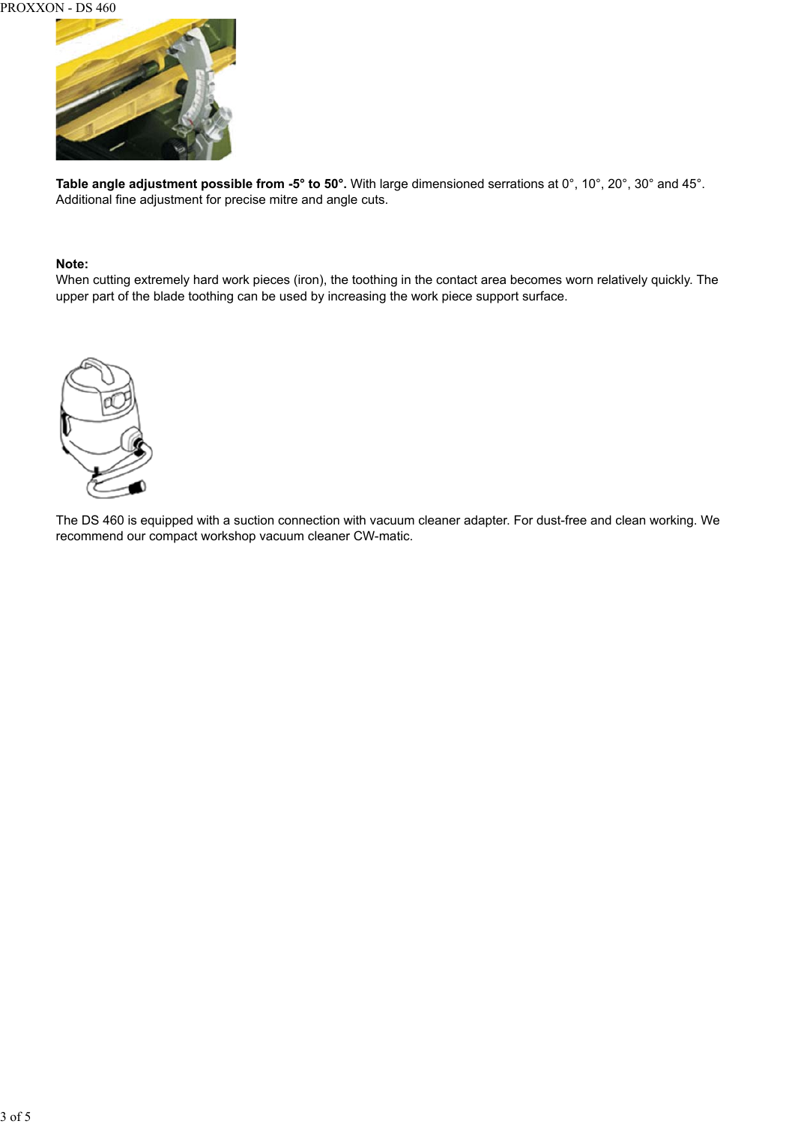

**Table angle adjustment possible from -5° to 50°.** With large dimensioned serrations at 0°, 10°, 20°, 30° and 45°. Additional fine adjustment for precise mitre and angle cuts.

#### **Note:**

When cutting extremely hard work pieces (iron), the toothing in the contact area becomes worn relatively quickly. The upper part of the blade toothing can be used by increasing the work piece support surface.



The DS 460 is equipped with a suction connection with vacuum cleaner adapter. For dust-free and clean working. We recommend our compact workshop vacuum cleaner CW-matic.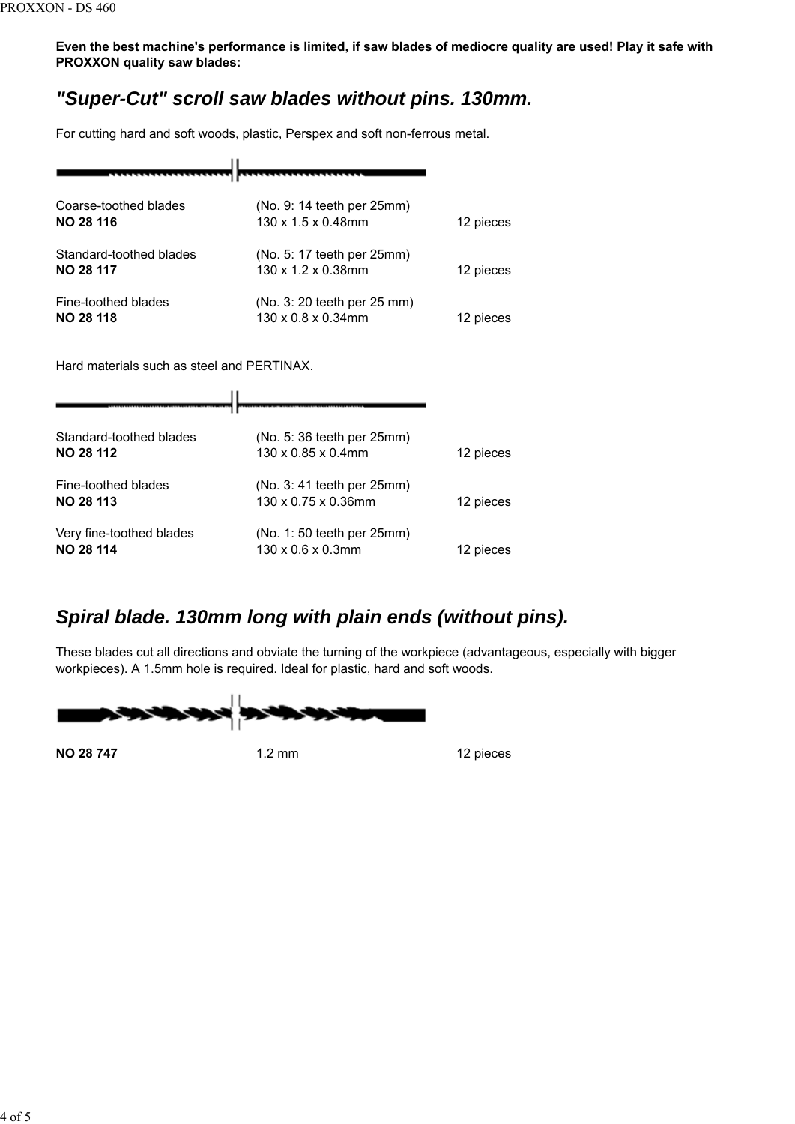**Even the best machine's performance is limited, if saw blades of mediocre quality are used! Play it safe with PROXXON quality saw blades:**

### *"Super-Cut" scroll saw blades without pins. 130mm.*

For cutting hard and soft woods, plastic, Perspex and soft non-ferrous metal.

| Coarse-toothed blades<br><b>NO 28 116</b>   | (No. 9: 14 teeth per 25mm)<br>130 x 1.5 x 0.48mm  | 12 pieces |
|---------------------------------------------|---------------------------------------------------|-----------|
| Standard-toothed blades<br><b>NO 28 117</b> | (No. 5: 17 teeth per 25mm)<br>130 x 1.2 x 0.38mm  | 12 pieces |
| Fine-toothed blades<br><b>NO 28 118</b>     | (No. 3: 20 teeth per 25 mm)<br>130 x 0.8 x 0.34mm | 12 pieces |

Hard materials such as steel and PERTINAX.

| Standard-toothed blades<br><b>NO 28 112</b>  | (No. 5: 36 teeth per 25mm)<br>$130 \times 0.85 \times 0.4$ mm | 12 pieces |
|----------------------------------------------|---------------------------------------------------------------|-----------|
| Fine-toothed blades<br><b>NO 28 113</b>      | (No. 3: 41 teeth per 25mm)<br>130 x 0.75 x 0.36mm             | 12 pieces |
| Very fine-toothed blades<br><b>NO 28 114</b> | (No. 1: 50 teeth per 25mm)<br>$130 \times 0.6 \times 0.3$ mm  | 12 pieces |

## *Spiral blade. 130mm long with plain ends (without pins).*

These blades cut all directions and obviate the turning of the workpiece (advantageous, especially with bigger workpieces). A 1.5mm hole is required. Ideal for plastic, hard and soft woods.

**NO 28 747** 1.2 mm 1.2 mm 12 pieces